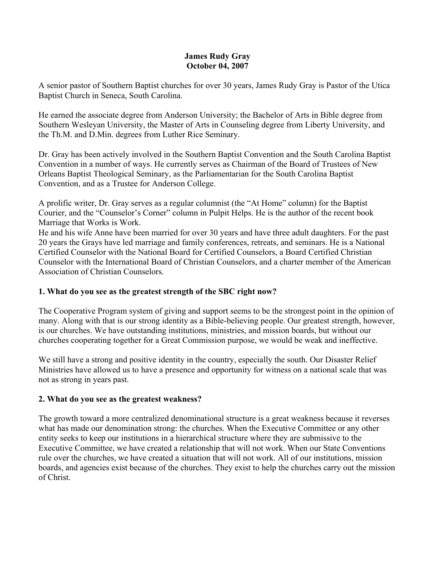#### **James Rudy Gray October 04, 2007**

A senior pastor of Southern Baptist churches for over 30 years, James Rudy Gray is Pastor of the Utica Baptist Church in Seneca, South Carolina.

He earned the associate degree from Anderson University; the Bachelor of Arts in Bible degree from Southern Wesleyan University, the Master of Arts in Counseling degree from Liberty University, and the Th.M. and D.Min. degrees from Luther Rice Seminary.

Dr. Gray has been actively involved in the Southern Baptist Convention and the South Carolina Baptist Convention in a number of ways. He currently serves as Chairman of the Board of Trustees of New Orleans Baptist Theological Seminary, as the Parliamentarian for the South Carolina Baptist Convention, and as a Trustee for Anderson College.

A prolific writer, Dr. Gray serves as a regular columnist (the "At Home" column) for the Baptist Courier, and the "Counselor's Corner" column in Pulpit Helps. He is the author of the recent book Marriage that Works is Work.

He and his wife Anne have been married for over 30 years and have three adult daughters. For the past 20 years the Grays have led marriage and family conferences, retreats, and seminars. He is a National Certified Counselor with the National Board for Certified Counselors, a Board Certified Christian Counselor with the International Board of Christian Counselors, and a charter member of the American Association of Christian Counselors.

### **1. What do you see as the greatest strength of the SBC right now?**

The Cooperative Program system of giving and support seems to be the strongest point in the opinion of many. Along with that is our strong identity as a Bible-believing people. Our greatest strength, however, is our churches. We have outstanding institutions, ministries, and mission boards, but without our churches cooperating together for a Great Commission purpose, we would be weak and ineffective.

We still have a strong and positive identity in the country, especially the south. Our Disaster Relief Ministries have allowed us to have a presence and opportunity for witness on a national scale that was not as strong in years past.

# **2. What do you see as the greatest weakness?**

The growth toward a more centralized denominational structure is a great weakness because it reverses what has made our denomination strong: the churches. When the Executive Committee or any other entity seeks to keep our institutions in a hierarchical structure where they are submissive to the Executive Committee, we have created a relationship that will not work. When our State Conventions rule over the churches, we have created a situation that will not work. All of our institutions, mission boards, and agencies exist because of the churches. They exist to help the churches carry out the mission of Christ.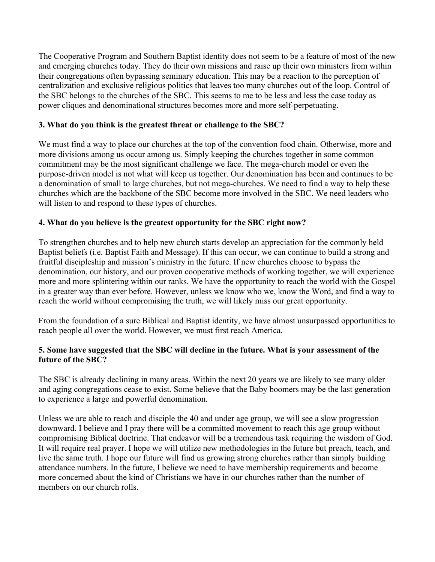The Cooperative Program and Southern Baptist identity does not seem to be a feature of most of the new and emerging churches today. They do their own missions and raise up their own ministers from within their congregations often bypassing seminary education. This may be a reaction to the perception of centralization and exclusive religious politics that leaves too many churches out of the loop. Control of the SBC belongs to the churches of the SBC. This seems to me to be less and less the case today as power cliques and denominational structures becomes more and more self-perpetuating.

## **3. What do you think is the greatest threat or challenge to the SBC?**

We must find a way to place our churches at the top of the convention food chain. Otherwise, more and more divisions among us occur among us. Simply keeping the churches together in some common commitment may be the most significant challenge we face. The mega-church model or even the purpose-driven model is not what will keep us together. Our denomination has been and continues to be a denomination of small to large churches, but not mega-churches. We need to find a way to help these churches which are the backbone of the SBC become more involved in the SBC. We need leaders who will listen to and respond to these types of churches.

# **4. What do you believe is the greatest opportunity for the SBC right now?**

To strengthen churches and to help new church starts develop an appreciation for the commonly held Baptist beliefs (i.e. Baptist Faith and Message). If this can occur, we can continue to build a strong and fruitful discipleship and mission's ministry in the future. If new churches choose to bypass the denomination, our history, and our proven cooperative methods of working together, we will experience more and more splintering within our ranks. We have the opportunity to reach the world with the Gospel in a greater way than ever before. However, unless we know who we, know the Word, and find a way to reach the world without compromising the truth, we will likely miss our great opportunity.

From the foundation of a sure Biblical and Baptist identity, we have almost unsurpassed opportunities to reach people all over the world. However, we must first reach America.

### **5. Some have suggested that the SBC will decline in the future. What is your assessment of the future of the SBC?**

The SBC is already declining in many areas. Within the next 20 years we are likely to see many older and aging congregations cease to exist. Some believe that the Baby boomers may be the last generation to experience a large and powerful denomination.

Unless we are able to reach and disciple the 40 and under age group, we will see a slow progression downward. I believe and I pray there will be a committed movement to reach this age group without compromising Biblical doctrine. That endeavor will be a tremendous task requiring the wisdom of God. It will require real prayer. I hope we will utilize new methodologies in the future but preach, teach, and live the same truth. I hope our future will find us growing strong churches rather than simply building attendance numbers. In the future, I believe we need to have membership requirements and become more concerned about the kind of Christians we have in our churches rather than the number of members on our church rolls.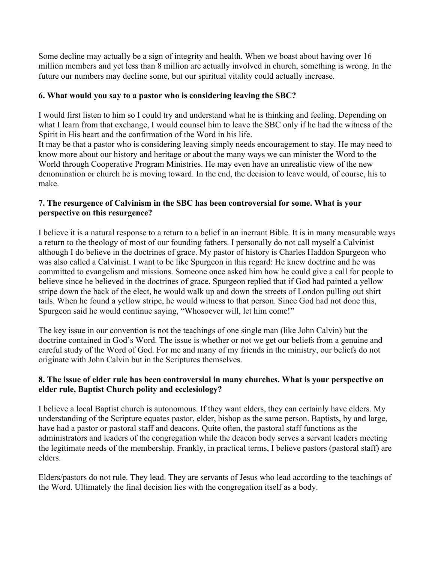Some decline may actually be a sign of integrity and health. When we boast about having over 16 million members and yet less than 8 million are actually involved in church, something is wrong. In the future our numbers may decline some, but our spiritual vitality could actually increase.

## **6. What would you say to a pastor who is considering leaving the SBC?**

I would first listen to him so I could try and understand what he is thinking and feeling. Depending on what I learn from that exchange, I would counsel him to leave the SBC only if he had the witness of the Spirit in His heart and the confirmation of the Word in his life.

It may be that a pastor who is considering leaving simply needs encouragement to stay. He may need to know more about our history and heritage or about the many ways we can minister the Word to the World through Cooperative Program Ministries. He may even have an unrealistic view of the new denomination or church he is moving toward. In the end, the decision to leave would, of course, his to make.

### **7. The resurgence of Calvinism in the SBC has been controversial for some. What is your perspective on this resurgence?**

I believe it is a natural response to a return to a belief in an inerrant Bible. It is in many measurable ways a return to the theology of most of our founding fathers. I personally do not call myself a Calvinist although I do believe in the doctrines of grace. My pastor of history is Charles Haddon Spurgeon who was also called a Calvinist. I want to be like Spurgeon in this regard: He knew doctrine and he was committed to evangelism and missions. Someone once asked him how he could give a call for people to believe since he believed in the doctrines of grace. Spurgeon replied that if God had painted a yellow stripe down the back of the elect, he would walk up and down the streets of London pulling out shirt tails. When he found a yellow stripe, he would witness to that person. Since God had not done this, Spurgeon said he would continue saying, "Whosoever will, let him come!"

The key issue in our convention is not the teachings of one single man (like John Calvin) but the doctrine contained in God's Word. The issue is whether or not we get our beliefs from a genuine and careful study of the Word of God. For me and many of my friends in the ministry, our beliefs do not originate with John Calvin but in the Scriptures themselves.

# **8. The issue of elder rule has been controversial in many churches. What is your perspective on elder rule, Baptist Church polity and ecclesiology?**

I believe a local Baptist church is autonomous. If they want elders, they can certainly have elders. My understanding of the Scripture equates pastor, elder, bishop as the same person. Baptists, by and large, have had a pastor or pastoral staff and deacons. Quite often, the pastoral staff functions as the administrators and leaders of the congregation while the deacon body serves a servant leaders meeting the legitimate needs of the membership. Frankly, in practical terms, I believe pastors (pastoral staff) are elders.

Elders/pastors do not rule. They lead. They are servants of Jesus who lead according to the teachings of the Word. Ultimately the final decision lies with the congregation itself as a body.